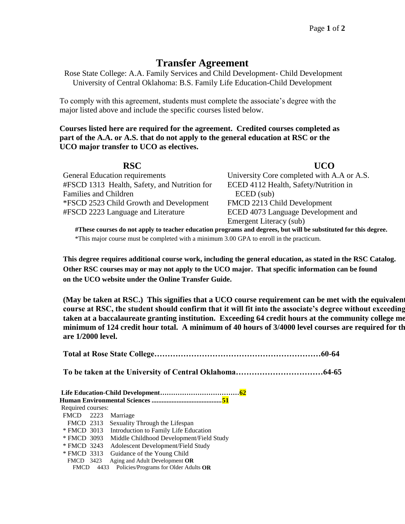## **Transfer Agreement**

Rose State College: A.A. Family Services and Child Development- Child Development University of Central Oklahoma: B.S. Family Life Education-Child Development

To comply with this agreement, students must complete the associate's degree with the major listed above and include the specific courses listed below.

**Courses listed here are required for the agreement. Credited courses completed as part of the A.A. or A.S. that do not apply to the general education at RSC or the UCO major transfer to UCO as electives.**

| <b>RSC</b>                                                                                                      | <b>UCO</b>                                 |  |  |
|-----------------------------------------------------------------------------------------------------------------|--------------------------------------------|--|--|
| General Education requirements                                                                                  | University Core completed with A.A or A.S. |  |  |
| #FSCD 1313 Health, Safety, and Nutrition for                                                                    | ECED 4112 Health, Safety/Nutrition in      |  |  |
| Families and Children                                                                                           | $E$ CED $(sub)$                            |  |  |
| *FSCD 2523 Child Growth and Development                                                                         | FMCD 2213 Child Development                |  |  |
| #FSCD 2223 Language and Literature                                                                              | ECED 4073 Language Development and         |  |  |
|                                                                                                                 | Emergent Literacy (sub)                    |  |  |
| #These courses do not apply to teacher education programs and degrees, but will be substituted for this degree. |                                            |  |  |

\*This major course must be completed with a minimum 3.00 GPA to enroll in the practicum.

**This degree requires additional course work, including the general education, as stated in the RSC Catalog. Other RSC courses may or may not apply to the UCO major. That specific information can be found on the UCO website under the Online Transfer Guide.**

(May be taken at RSC.) This signifies that a UCO course requirement can be met with the equivalent course at RSC, the student should confirm that it will fit into the associate's degree without exceeding taken at a baccalaureate granting institution. Exceeding 64 credit hours at the community college me minimum of 124 credit hour total. A minimum of 40 hours of 3/4000 level courses are required for th **are 1/2000 level.**

| Required courses: |  |                                                      |  |
|-------------------|--|------------------------------------------------------|--|
|                   |  | FMCD 2223 Marriage                                   |  |
|                   |  | FMCD 2313 Sexuality Through the Lifespan             |  |
|                   |  | * FMCD 3013 Introduction to Family Life Education    |  |
|                   |  | * FMCD 3093 Middle Childhood Development/Field Study |  |
| * FMCD 3243       |  | Adolescent Development/Field Study                   |  |
|                   |  | * FMCD 3313 Guidance of the Young Child              |  |
|                   |  | FMCD 3423 Aging and Adult Development OR             |  |
|                   |  | FMCD $4433$ Policies/Programs for Older Adults OR    |  |